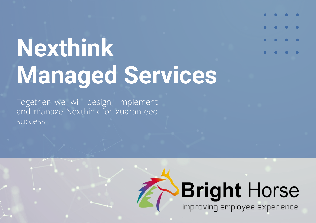# **Nexthink Managed Services**

Together we will design, implement and manage Nexthink for guaranteed success

## **Bright Horse** improving employee experience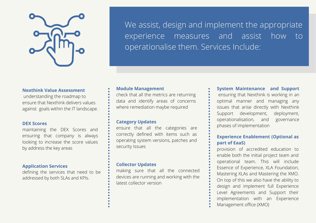

We assist, design and implement the appropriate experience measures and assist how to operationalise them. Services Include:

#### **Nexthink Value Assessment**

understanding the roadmap to ensure that Nexthink delivers values against goals within the IT landscape.

#### **DEX Scores**

maintaining the DEX Scores and ensuring that company is always looking to increase the score values by address the key areas

#### **Application Services**

defining the services that need to be addressed by both SLAs and KPIs.

#### **Module Management**

check that all the metrics are returning data and identify areas of concerns where remediation maybe required

#### **Category Updates**

ensure that all the categories are correctly defined with items such as operating system versions, patches and security Issues

#### **Collector Updates**

making sure that all the connected devices are running and working with the latest collector version

**System Maintenance and Support** ensuring that Nexthink is working in an optimal manner and managing any issues that arise directly with Nexthink Support development, deployment, operationalisation, and governance phases of implementation

#### **Experience Enablement (Optional as part of EaaS)**

provision of accredited education to enable both the initial project team and operational team. This will include Essence of Experience, XLA Foundation, Mastering XLAs and Mastering the XMO. On top of this we also have the ability to design and implement full Experience Level Agreements and Support their implementation with an Experience Management office (XMO)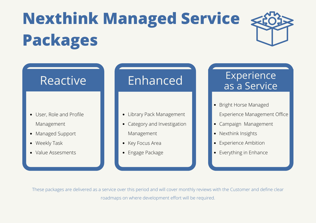## **Nexthink Managed Service Packages**



- User, Role and Profile Management
- Managed Support
- Weekly Task
- Value Assesments

### Reactive | Enhanced

- Library Pack Management
- Category and Investigation Management
- Key Focus Area
- Engage Package

### Experience as a Service

- Bright Horse Managed Experience Management Office
- Campaign Management
- Nexthink Insights
- Experience Ambition
- Everything in Enhance

These packages are delivered as a service over this period and will cover monthly reviews with the Customer and define clear roadmaps on where development effort will be required.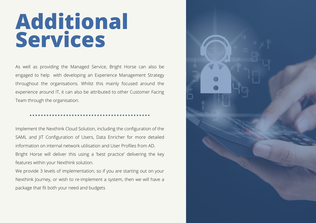## **Additional Services**

As well as providing the Managed Service, Bright Horse can also be engaged to help with developing an Experience Management Strategy throughout the organisations. Whilst this mainly focused around the experience around IT, it can also be attributed to other Customer Facing Team through the organisation.

Implement the Nexthink Cloud Solution, including the configuration of the SAML and JIT Configuration of Users, Data Enricher for more detailed information on internal network utilisation and User Profiles from AD. Bright Horse will deliver this using a 'best practice' delivering the key features within your Nexthink solution.

We provide 3 levels of implementation, so if you are starting out on your Nexthink Journey, or wish to re-implement a system, then we will have a package that fit both your need and budgets